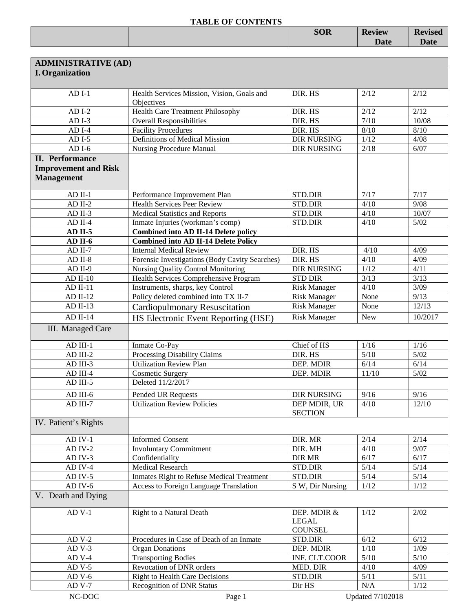|  | <b>SOR</b> | <b>Review</b> | <b>Revised</b> |
|--|------------|---------------|----------------|
|  |            | <b>Date</b>   | <b>Date</b>    |
|  |            |               |                |

| <b>ADMINISTRATIVE (AD)</b>  |                                                          |                                |            |         |
|-----------------------------|----------------------------------------------------------|--------------------------------|------------|---------|
| <b>I.</b> Organization      |                                                          |                                |            |         |
|                             |                                                          |                                |            |         |
| $ADI-1$                     | Health Services Mission, Vision, Goals and<br>Objectives | DIR. HS                        | 2/12       | 2/12    |
| $ADI-2$                     | <b>Health Care Treatment Philosophy</b>                  | DIR. HS                        | 2/12       | 2/12    |
| $ADI-3$                     | <b>Overall Responsibilities</b>                          | DIR. HS                        | 7/10       | 10/08   |
| $ADI-4$                     | <b>Facility Procedures</b>                               | DIR. HS                        | 8/10       | $8/10$  |
| $ADI-5$                     | Definitions of Medical Mission                           | <b>DIR NURSING</b>             | 1/12       | 4/08    |
| $ADI-6$                     | <b>Nursing Procedure Manual</b>                          | <b>DIR NURSING</b>             | 2/18       | 6/07    |
| <b>II.</b> Performance      |                                                          |                                |            |         |
| <b>Improvement and Risk</b> |                                                          |                                |            |         |
| <b>Management</b>           |                                                          |                                |            |         |
|                             |                                                          |                                |            |         |
| $AD$ II-1                   | Performance Improvement Plan                             | STD.DIR                        | 7/17       | 7/17    |
| $AD$ II-2                   | <b>Health Services Peer Review</b>                       | <b>STD.DIR</b>                 | 4/10       | 9/08    |
| $AD$ II-3                   | <b>Medical Statistics and Reports</b>                    | STD.DIR                        | 4/10       | 10/07   |
| $AD$ II-4                   | Inmate Injuries (workman's comp)                         | <b>STD.DIR</b>                 | 4/10       | $5/02$  |
| $AD$ II-5                   | <b>Combined into AD II-14 Delete policy</b>              |                                |            |         |
| AD II-6                     | <b>Combined into AD II-14 Delete Policy</b>              |                                |            |         |
| $AD$ II-7                   | <b>Internal Medical Review</b>                           | DIR. HS                        | 4/10       | 4/09    |
| $AD II-8$                   | Forensic Investigations (Body Cavity Searches)           | DIR. HS                        | 4/10       | 4/09    |
| $AD II-9$                   | Nursing Quality Control Monitoring                       | <b>DIR NURSING</b>             | 1/12       | 4/11    |
| $AD$ II-10                  | <b>Health Services Comprehensive Program</b>             | <b>STD DIR</b>                 | 3/13       | 3/13    |
| $AD II-11$                  | Instruments, sharps, key Control                         | <b>Risk Manager</b>            | 4/10       | 3/09    |
| $AD II-12$                  | Policy deleted combined into TX II-7                     | <b>Risk Manager</b>            | None       | 9/13    |
| $AD II-13$                  | <b>Cardiopulmonary Resuscitation</b>                     | <b>Risk Manager</b>            | None       | 12/13   |
| $AD II-14$                  | HS Electronic Event Reporting (HSE)                      | <b>Risk Manager</b>            | <b>New</b> | 10/2017 |
| III. Managed Care           |                                                          |                                |            |         |
|                             |                                                          |                                |            |         |
| $AD$ III-1                  | Inmate Co-Pay                                            | Chief of HS                    | 1/16       | 1/16    |
| AD III-2                    | Processing Disability Claims                             | DIR. HS                        | 5/10       | $5/02$  |
| AD III-3                    | <b>Utilization Review Plan</b>                           | DEP. MDIR                      | 6/14       | 6/14    |
| AD III-4                    | <b>Cosmetic Surgery</b>                                  | DEP. MDIR                      | 11/10      | $5/02$  |
| AD III-5                    | Deleted 11/2/2017                                        |                                |            |         |
| AD III-6                    | Pended UR Requests                                       | <b>DIR NURSING</b>             | 9/16       | 9/16    |
| AD III-7                    | <b>Utilization Review Policies</b>                       | DEP MDIR, UR                   | 4/10       | 12/10   |
|                             |                                                          | <b>SECTION</b>                 |            |         |
| IV. Patient's Rights        |                                                          |                                |            |         |
|                             |                                                          |                                |            |         |
| $AD$ IV-1                   | <b>Informed Consent</b>                                  | DIR. MR                        | 2/14       | 2/14    |
| $AD IV-2$                   | <b>Involuntary Commitment</b>                            | DIR. MH                        | 4/10       | 9/07    |
| AD IV-3                     | Confidentiality                                          | <b>DIR MR</b>                  | 6/17       | 6/17    |
| AD IV-4                     | <b>Medical Research</b>                                  | STD.DIR                        | $5/14$     | $5/14$  |
| $AD$ IV-5                   | Inmates Right to Refuse Medical Treatment                | STD.DIR                        | $5/14$     | $5/14$  |
| $AD$ IV- $6$                | <b>Access to Foreign Language Translation</b>            | S W, Dir Nursing               | 1/12       | 1/12    |
| V. Death and Dying          |                                                          |                                |            |         |
| $AD$ V-1                    | Right to a Natural Death                                 | DEP. MDIR &                    | 1/12       | 2/02    |
|                             |                                                          | <b>LEGAL</b><br><b>COUNSEL</b> |            |         |
| $ADV-2$                     | Procedures in Case of Death of an Inmate                 | STD.DIR                        | 6/12       | 6/12    |
| $ADV-3$                     | <b>Organ Donations</b>                                   | DEP. MDIR                      | 1/10       | 1/09    |
| $ADV-4$                     | <b>Transporting Bodies</b>                               | INF. CLT.COOR                  | 5/10       | $5/10$  |
| $ADV-5$                     | Revocation of DNR orders                                 | MED. DIR                       | 4/10       | 4/09    |
| $ADV-6$                     | <b>Right to Health Care Decisions</b>                    | STD.DIR                        | $5/11$     | 5/11    |
| $ADV-7$                     | <b>Recognition of DNR Status</b>                         | Dir HS                         | N/A        | 1/12    |
|                             |                                                          |                                |            |         |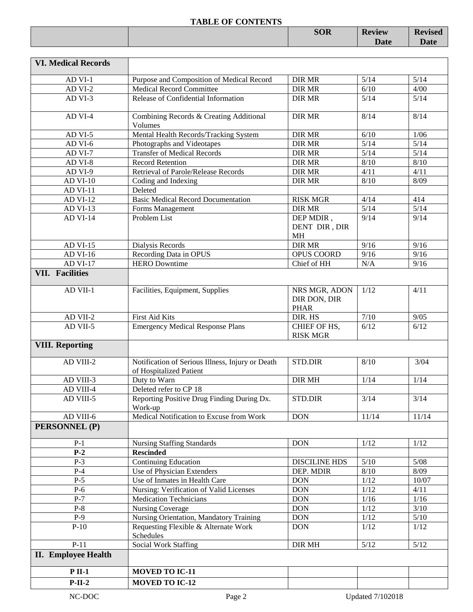|  | <b>SOR</b> | <b>Review</b> | $\mathbf{D}_{\text{ovizon}}$<br>visea<br>лс |
|--|------------|---------------|---------------------------------------------|
|  |            | <b>Date</b>   | <b>Dota</b><br>Date                         |
|  |            |               |                                             |

| <b>VI. Medical Records</b> |                                                                             |                                              |                         |        |
|----------------------------|-----------------------------------------------------------------------------|----------------------------------------------|-------------------------|--------|
| AD VI-1                    | Purpose and Composition of Medical Record                                   | <b>DIR MR</b>                                | 5/14                    | $5/14$ |
| AD VI-2                    | <b>Medical Record Committee</b>                                             | <b>DIR MR</b>                                | 6/10                    | 4/00   |
| AD VI-3                    | Release of Confidential Information                                         | <b>DIR MR</b>                                | 5/14                    | $5/14$ |
| AD VI-4                    | Combining Records & Creating Additional<br>Volumes                          | <b>DIR MR</b>                                | 8/14                    | 8/14   |
| AD VI-5                    | Mental Health Records/Tracking System                                       | <b>DIR MR</b>                                | 6/10                    | 1/06   |
| AD VI-6                    | Photographs and Videotapes                                                  | <b>DIR MR</b>                                | 5/14                    | $5/14$ |
| AD VI-7                    | <b>Transfer of Medical Records</b>                                          | <b>DIR MR</b>                                | 5/14                    | $5/14$ |
| AD VI-8                    | Record Retention                                                            | <b>DIR MR</b>                                | 8/10                    | 8/10   |
| AD VI-9                    | Retrieval of Parole/Release Records                                         | <b>DIR MR</b>                                | 4/11                    | 4/11   |
| <b>AD VI-10</b>            | Coding and Indexing                                                         | <b>DIR MR</b>                                | 8/10                    | 8/09   |
| <b>AD VI-11</b>            | Deleted                                                                     |                                              |                         |        |
| <b>AD VI-12</b>            | <b>Basic Medical Record Documentation</b>                                   | <b>RISK MGR</b>                              | 4/14                    | 414    |
| AD VI-13                   | Forms Management                                                            | <b>DIR MR</b>                                | 5/14                    | $5/14$ |
| <b>AD VI-14</b>            | Problem List                                                                | DEP MDIR,<br>DENT DIR, DIR<br><b>MH</b>      | 9/14                    | 9/14   |
| <b>AD VI-15</b>            | Dialysis Records                                                            | <b>DIR MR</b>                                | 9/16                    | 9/16   |
| AD VI-16                   | Recording Data in OPUS                                                      | OPUS COORD                                   | 9/16                    | 9/16   |
| <b>AD VI-17</b>            | <b>HERO</b> Downtime                                                        | Chief of HH                                  | N/A                     | 9/16   |
| <b>VII. Facilities</b>     |                                                                             |                                              |                         |        |
| AD VII-1                   | Facilities, Equipment, Supplies                                             | NRS MGR, ADON<br>DIR DON, DIR<br><b>PHAR</b> | 1/12                    | 4/11   |
| AD VII-2                   | First Aid Kits                                                              | DIR. HS                                      | $7/10$                  | 9/05   |
| AD VII-5                   | <b>Emergency Medical Response Plans</b>                                     | CHIEF OF HS,<br><b>RISK MGR</b>              | 6/12                    | 6/12   |
| <b>VIII. Reporting</b>     |                                                                             |                                              |                         |        |
| AD VIII-2                  | Notification of Serious Illness, Injury or Death<br>of Hospitalized Patient | <b>STD.DIR</b>                               | 8/10                    | 3/04   |
| AD VIII-3                  | Duty to Warn                                                                | <b>DIR MH</b>                                | 1/14                    | 1/14   |
| AD VIII-4                  | Deleted refer to CP 18                                                      |                                              |                         |        |
| AD VIII-5                  | Reporting Positive Drug Finding During Dx.<br>Work-up                       | STD.DIR                                      | 3/14                    | 3/14   |
| AD VIII-6                  | Medical Notification to Excuse from Work                                    | <b>DON</b>                                   | 11/14                   | 11/14  |
| PERSONNEL (P)              |                                                                             |                                              |                         |        |
|                            |                                                                             | <b>DON</b>                                   | 1/12                    | 1/12   |
| $P-1$<br>$P-2$             | <b>Nursing Staffing Standards</b><br><b>Rescinded</b>                       |                                              |                         |        |
| $P-3$                      | Continuing Education                                                        | <b>DISCILINE HDS</b>                         | $5/10$                  | $5/08$ |
| $P-4$                      | Use of Physician Extenders                                                  | DEP. MDIR                                    | $8/10$                  | 8/09   |
| $P-5$                      | Use of Inmates in Health Care                                               | <b>DON</b>                                   | $1/12$                  | 10/07  |
| $P-6$                      | Nursing: Verification of Valid Licenses                                     | <b>DON</b>                                   | 1/12                    | 4/11   |
| $P-7$                      | <b>Medication Technicians</b>                                               | <b>DON</b>                                   | 1/16                    | $1/16$ |
| $P-8$                      | <b>Nursing Coverage</b>                                                     | <b>DON</b>                                   | $1/12$                  | $3/10$ |
| $P-9$                      | Nursing Orientation, Mandatory Training                                     | <b>DON</b>                                   | $1/12$                  | $5/10$ |
| $P-10$                     | Requesting Flexible & Alternate Work<br>Schedules                           | <b>DON</b>                                   | 1/12                    | 1/12   |
| $P-11$                     | <b>Social Work Staffing</b>                                                 | DIR MH                                       | $5/12$                  | 5/12   |
| <b>II.</b> Employee Health |                                                                             |                                              |                         |        |
| $P$ II-1                   | <b>MOVED TO IC-11</b>                                                       |                                              |                         |        |
| $P-II-2$                   | <b>MOVED TO IC-12</b>                                                       |                                              |                         |        |
| NC-DOC                     | Page 2                                                                      |                                              | <b>Updated 7/102018</b> |        |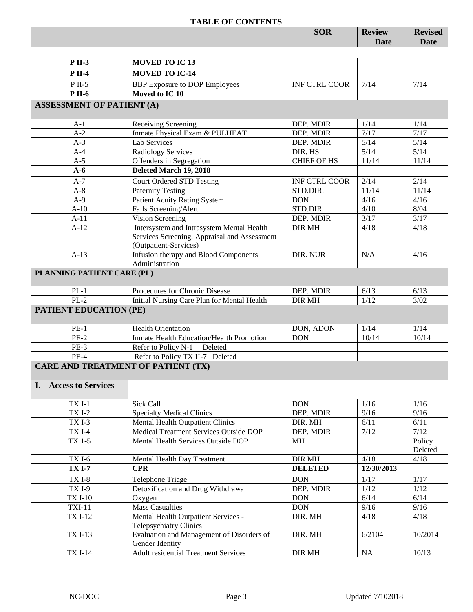|                                           | <b>TABLE OF CONTENTS</b>                     | <b>SOR</b>           | <b>Review</b> | <b>Revised</b> |
|-------------------------------------------|----------------------------------------------|----------------------|---------------|----------------|
|                                           |                                              |                      | Date          | Date           |
|                                           |                                              |                      |               |                |
| <b>P</b> II-3                             | <b>MOVED TO IC13</b>                         |                      |               |                |
| <b>P</b> II-4                             | <b>MOVED TO IC-14</b>                        |                      |               |                |
| $P$ II-5                                  | <b>BBP</b> Exposure to DOP Employees         | <b>INF CTRL COOR</b> | 7/14          | 7/14           |
| <b>P</b> II-6                             | Moved to IC 10                               |                      |               |                |
| <b>ASSESSMENT OF PATIENT (A)</b>          |                                              |                      |               |                |
|                                           |                                              |                      |               |                |
| $A-1$                                     | Receiving Screening                          | DEP. MDIR            | 1/14          | 1/14           |
| $A-2$                                     | Inmate Physical Exam & PULHEAT               | DEP. MDIR            | 7/17          | 7/17           |
| $A-3$                                     | <b>Lab Services</b>                          | DEP. MDIR            | $5/14$        | $5/14$         |
| $A-4$                                     | <b>Radiology Services</b>                    | DIR. HS              | $5/14$        | $5/14$         |
| $A-5$                                     | Offenders in Segregation                     | <b>CHIEF OF HS</b>   | 11/14         | 11/14          |
| $A-6$                                     | Deleted March 19, 2018                       |                      |               |                |
| $A-7$                                     | <b>Court Ordered STD Testing</b>             | <b>INF CTRL COOR</b> | 2/14          | 2/14           |
| $A-8$                                     | <b>Paternity Testing</b>                     | STD.DIR.             | 11/14         | 11/14          |
| $A-9$                                     | <b>Patient Acuity Rating System</b>          | <b>DON</b>           | 4/16          | 4/16           |
| $A-10$                                    | Falls Screening/Alert                        | STD.DIR              | 4/10          | 8/04           |
| $A-11$                                    | Vision Screening                             | DEP. MDIR            | 3/17          | 3/17           |
| $A-12$                                    | Intersystem and Intrasystem Mental Health    | <b>DIR MH</b>        | 4/18          | 4/18           |
|                                           | Services Screening, Appraisal and Assessment |                      |               |                |
|                                           | (Outpatient-Services)                        |                      |               |                |
| $A-13$                                    | Infusion therapy and Blood Components        | DIR. NUR             | N/A           | 4/16           |
|                                           | Administration                               |                      |               |                |
| PLANNING PATIENT CARE (PL)                |                                              |                      |               |                |
| $PL-1$                                    | Procedures for Chronic Disease               | DEP. MDIR            | 6/13          | 6/13           |
| $PL-2$                                    | Initial Nursing Care Plan for Mental Health  | <b>DIR MH</b>        | 1/12          | 3/02           |
| <b>PATIENT EDUCATION (PE)</b>             |                                              |                      |               |                |
|                                           |                                              |                      |               |                |
| $PE-1$                                    | <b>Health Orientation</b>                    | DON, ADON            | 1/14          | 1/14           |
| $PE-2$                                    | Inmate Health Education/Health Promotion     | <b>DON</b>           | 10/14         | 10/14          |
| PE-3                                      | Refer to Policy N-1<br>Deleted               |                      |               |                |
| $PE-4$                                    | Refer to Policy TX II-7 Deleted              |                      |               |                |
| <b>CARE AND TREATMENT OF PATIENT (TX)</b> |                                              |                      |               |                |
|                                           |                                              |                      |               |                |
| I. Access to Services                     |                                              |                      |               |                |
|                                           |                                              |                      |               |                |
| $TXI-1$                                   | Sick Call                                    | <b>DON</b>           | 1/16          | 1/16           |
|                                           |                                              |                      |               |                |

| $TXI-1$        | Sick Call                                   | <b>DON</b>     | 1/16       | 1/16    |
|----------------|---------------------------------------------|----------------|------------|---------|
| <b>TXI-2</b>   | <b>Specialty Medical Clinics</b>            | DEP. MDIR      | 9/16       | 9/16    |
| TXI-3          | <b>Mental Health Outpatient Clinics</b>     | DIR. MH        | 6/11       | 6/11    |
| <b>TXI-4</b>   | Medical Treatment Services Outside DOP      | DEP. MDIR      | 7/12       | 7/12    |
| TX 1-5         | Mental Health Services Outside DOP          | <b>MH</b>      |            | Policy  |
|                |                                             |                |            | Deleted |
| <b>TX I-6</b>  | Mental Health Day Treatment                 | <b>DIR MH</b>  | 4/18       | 4/18    |
| <b>TX I-7</b>  | <b>CPR</b>                                  | <b>DELETED</b> | 12/30/2013 |         |
| <b>TXI-8</b>   | Telephone Triage                            | <b>DON</b>     | 1/17       | 1/17    |
| <b>TX I-9</b>  | Detoxification and Drug Withdrawal          | DEP. MDIR      | 1/12       | 1/12    |
| <b>TX I-10</b> | Oxygen                                      | DON            | 6/14       | 6/14    |
| <b>TXI-11</b>  | <b>Mass Casualties</b>                      | <b>DON</b>     | 9/16       | 9/16    |
| <b>TX I-12</b> | Mental Health Outpatient Services -         | DIR. MH        | 4/18       | 4/18    |
|                | <b>Telepsychiatry Clinics</b>               |                |            |         |
| <b>TX I-13</b> | Evaluation and Management of Disorders of   | DIR. MH        | 6/2104     | 10/2014 |
|                | Gender Identity                             |                |            |         |
| <b>TXI-14</b>  | <b>Adult residential Treatment Services</b> | <b>DIR MH</b>  | <b>NA</b>  | 10/13   |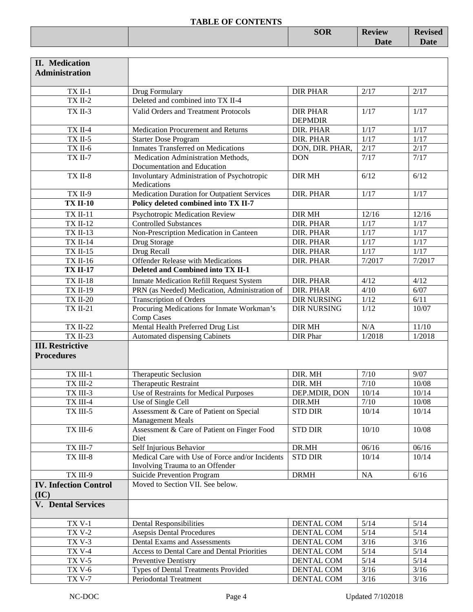|  | $C \cap D$<br><b>DUN</b> | <b>Review</b> | $\mathbf{r}$<br>$\alpha$ vica $\epsilon$<br>VISCU |
|--|--------------------------|---------------|---------------------------------------------------|
|  |                          | <b>Date</b>   | $\mathbf{r}$                                      |
|  |                          |               |                                                   |

| <b>II.</b> Medication<br><b>Administration</b> |                                                                                    |                                   |                   |         |
|------------------------------------------------|------------------------------------------------------------------------------------|-----------------------------------|-------------------|---------|
| TX II-1                                        | Drug Formulary                                                                     | <b>DIR PHAR</b>                   | 2/17              | 2/17    |
| $TX$ II-2                                      | Deleted and combined into TX II-4                                                  |                                   |                   |         |
| TX II-3                                        | Valid Orders and Treatment Protocols                                               | <b>DIR PHAR</b><br><b>DEPMDIR</b> | 1/17              | 1/17    |
| $TX$ II-4                                      | Medication Procurement and Returns                                                 | DIR. PHAR                         | 1/17              | 1/17    |
| $TX$ II-5                                      | <b>Starter Dose Program</b>                                                        | DIR. PHAR                         | 1/17              | 1/17    |
| TX II-6                                        | <b>Inmates Transferred on Medications</b>                                          | DON, DIR. PHAR,                   | 2/17              | 2/17    |
| <b>TX II-7</b>                                 | Medication Administration Methods,<br>Documentation and Education                  | <b>DON</b>                        | 7/17              | 7/17    |
| TX II-8                                        | Involuntary Administration of Psychotropic<br>Medications                          | <b>DIR MH</b>                     | 6/12              | 6/12    |
| <b>TX II-9</b>                                 | Medication Duration for Outpatient Services                                        | DIR. PHAR                         | 1/17              | 1/17    |
| <b>TX II-10</b>                                | Policy deleted combined into TX II-7                                               |                                   |                   |         |
| <b>TX II-11</b>                                | Psychotropic Medication Review                                                     | <b>DIR MH</b>                     | 12/16             | 12/16   |
| <b>TX II-12</b>                                | <b>Controlled Substances</b>                                                       | <b>DIR. PHAR</b>                  | $1/17$            | $1/17$  |
| <b>TX II-13</b>                                | Non-Prescription Medication in Canteen                                             | DIR. PHAR                         | $1/17$            | $1/17$  |
| <b>TX II-14</b>                                | Drug Storage                                                                       | DIR. PHAR                         | $1/17$            | $1/17$  |
| <b>TX II-15</b>                                | Drug Recall                                                                        | DIR. PHAR                         | $\overline{1/17}$ | 1/17    |
| <b>TX II-16</b>                                | <b>Offender Release with Medications</b>                                           | DIR. PHAR                         | 7/2017            | 7/2017  |
| <b>TX II-17</b>                                | Deleted and Combined into TX II-1                                                  |                                   |                   |         |
| <b>TX II-18</b>                                | <b>Inmate Medication Refill Request System</b>                                     | DIR. PHAR                         | 4/12              | 4/12    |
| <b>TX II-19</b>                                | PRN (as Needed) Medication, Administration of                                      | DIR. PHAR                         | 4/10              | 6/07    |
| <b>TX II-20</b>                                | <b>Transcription of Orders</b>                                                     | <b>DIR NURSING</b>                | $1/12$            | 6/11    |
| <b>TX II-21</b>                                | Procuring Medications for Inmate Workman's<br>Comp Cases                           | <b>DIR NURSING</b>                | 1/12              | 10/07   |
| <b>TX II-22</b>                                | Mental Health Preferred Drug List                                                  | DIR MH                            | N/A               | $11/10$ |
| <b>TX II-23</b>                                | Automated dispensing Cabinets                                                      | DIR Phar                          | 1/2018            | 1/2018  |
| <b>III. Restrictive</b><br><b>Procedures</b>   |                                                                                    |                                   |                   |         |
| TX III-1                                       | Therapeutic Seclusion                                                              | DIR. MH                           | $7/10$            | 9/07    |
| TX III-2                                       | Therapeutic Restraint                                                              | DIR. MH                           | 7/10              | 10/08   |
| TX III-3                                       | Use of Restraints for Medical Purposes                                             | DEP.MDIR, DON                     | 10/14             | 10/14   |
| TX III-4                                       | Use of Single Cell                                                                 | DIR.MH                            | $7/10$            | 10/08   |
| TX III-5                                       | Assessment & Care of Patient on Special<br><b>Management Meals</b>                 | <b>STD DIR</b>                    | 10/14             | 10/14   |
| TX III-6                                       | Assessment & Care of Patient on Finger Food<br>Diet                                | <b>STD DIR</b>                    | 10/10             | 10/08   |
| TX III-7                                       | Self Injurious Behavior                                                            | DR.MH                             | 06/16             | 06/16   |
| TX III-8                                       | Medical Care with Use of Force and/or Incidents<br>Involving Trauma to an Offender | <b>STD DIR</b>                    | 10/14             | 10/14   |
| TX III-9                                       | Suicide Prevention Program                                                         | <b>DRMH</b>                       | NA                | $6/16$  |
| <b>IV. Infection Control</b><br>(IC)           | Moved to Section VII. See below.                                                   |                                   |                   |         |
| <b>V.</b> Dental Services                      |                                                                                    |                                   |                   |         |
| <b>TX V-1</b>                                  | <b>Dental Responsibilities</b>                                                     | DENTAL COM                        | 5/14              | $5/14$  |
| <b>TX V-2</b>                                  | <b>Asepsis Dental Procedures</b>                                                   | DENTAL COM                        | $5/14$            | $5/14$  |
| <b>TX V-3</b>                                  | Dental Exams and Assessments                                                       | DENTAL COM                        | $3/16$            | $3/16$  |
| <b>TX V-4</b>                                  | Access to Dental Care and Dental Priorities                                        | DENTAL COM                        | $5/14$            | $5/14$  |
| <b>TX V-5</b>                                  | Preventive Dentistry                                                               | DENTAL COM                        | $5/14$            | $5/14$  |
| <b>TX V-6</b>                                  | Types of Dental Treatments Provided                                                | DENTAL COM                        | $3/16$            | $3/16$  |
| <b>TX V-7</b>                                  | Periodontal Treatment                                                              | <b>DENTAL COM</b>                 | $3/16$            | $3/16$  |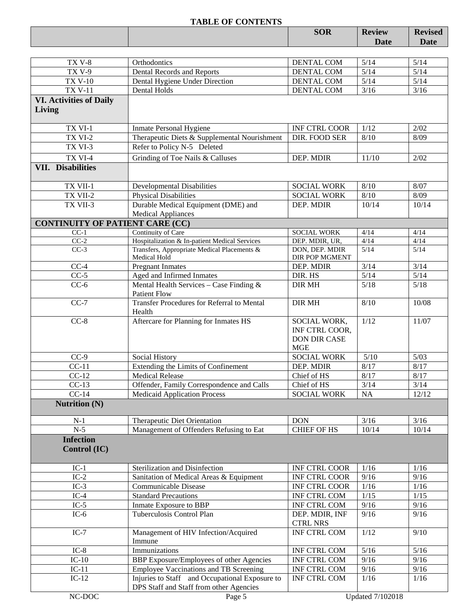|                                        |                                                                          | <b>SOR</b>           | <b>Review</b> | <b>Revised</b> |
|----------------------------------------|--------------------------------------------------------------------------|----------------------|---------------|----------------|
|                                        |                                                                          |                      | Date          | Date           |
|                                        |                                                                          |                      |               |                |
| <b>TX V-8</b>                          | Orthodontics                                                             | DENTAL COM           | 5/14          | 5/14           |
| <b>TX V-9</b>                          | Dental Records and Reports                                               | <b>DENTAL COM</b>    | 5/14          | 5/14           |
| <b>TX V-10</b>                         | Dental Hygiene Under Direction                                           | DENTAL COM           | $5/14$        | $5/14$         |
| <b>TX V-11</b>                         | Dental Holds                                                             | <b>DENTAL COM</b>    | $3/16$        | $3/16$         |
| <b>VI. Activities of Daily</b>         |                                                                          |                      |               |                |
| Living                                 |                                                                          |                      |               |                |
|                                        |                                                                          |                      |               |                |
| TX VI-1                                | <b>Inmate Personal Hygiene</b>                                           | <b>INF CTRL COOR</b> | 1/12          | 2/02           |
| TX VI-2                                | Therapeutic Diets & Supplemental Nourishment                             | DIR. FOOD SER        | 8/10          | 8/09           |
| TX VI-3                                | Refer to Policy N-5 Deleted                                              |                      |               |                |
| TX VI-4                                | Grinding of Toe Nails & Calluses                                         | DEP. MDIR            | 11/10         | 2/02           |
| <b>VII.</b> Disabilities               |                                                                          |                      |               |                |
|                                        |                                                                          |                      |               |                |
| TX VII-1                               | <b>Developmental Disabilities</b>                                        | <b>SOCIAL WORK</b>   | 8/10          | 8/07           |
| TX VII-2                               | <b>Physical Disabilities</b>                                             | <b>SOCIAL WORK</b>   | 8/10          | 8/09           |
| TX VII-3                               | Durable Medical Equipment (DME) and                                      | DEP. MDIR            | 10/14         | 10/14          |
|                                        | <b>Medical Appliances</b>                                                |                      |               |                |
| <b>CONTINUITY OF PATIENT CARE (CC)</b> |                                                                          |                      |               |                |
| $CC-1$                                 | Continuity of Care                                                       | <b>SOCIAL WORK</b>   | 4/14          | 4/14           |
| $CC-2$                                 | Hospitalization & In-patient Medical Services                            | DEP. MDIR, UR,       | 4/14          | 4/14           |
| $CC-3$                                 | Transfers, Appropriate Medical Placements &                              | DON, DEP. MDIR       | 5/14          | 5/14           |
|                                        | Medical Hold                                                             | DIR POP MGMENT       |               |                |
| $CC-4$                                 | <b>Pregnant Inmates</b>                                                  | DEP. MDIR            | 3/14          | 3/14           |
| $CC-5$                                 | Aged and Infirmed Inmates                                                | DIR. HS              | $5/14$        | $5/14$         |
| $CC-6$                                 | Mental Health Services - Case Finding &                                  | <b>DIR MH</b>        | 5/18          | 5/18           |
| $CC-7$                                 | <b>Patient Flow</b><br><b>Transfer Procedures for Referral to Mental</b> | <b>DIR MH</b>        | 8/10          | 10/08          |
|                                        | Health                                                                   |                      |               |                |
| $CC-8$                                 | Aftercare for Planning for Inmates HS                                    | SOCIAL WORK,         | 1/12          | 11/07          |
|                                        |                                                                          | INF CTRL COOR,       |               |                |
|                                        |                                                                          | <b>DON DIR CASE</b>  |               |                |
|                                        |                                                                          | <b>MGE</b>           |               |                |
| $CC-9$                                 | Social History                                                           | <b>SOCIAL WORK</b>   | $5/10$        | 5/03           |
| $CC-11$                                | Extending the Limits of Confinement                                      | DEP. MDIR            | 8/17          | 8/17           |
| $CC-12$                                | <b>Medical Release</b>                                                   | Chief of HS          | $8/17$        | 8/17           |
| $CC-13$                                | Offender, Family Correspondence and Calls                                | Chief of HS          | 3/14          | 3/14           |
| $CC-14$                                | <b>Medicaid Application Process</b>                                      | <b>SOCIAL WORK</b>   | NA            | 12/12          |
| <b>Nutrition (N)</b>                   |                                                                          |                      |               |                |
|                                        |                                                                          |                      |               |                |
| $N-1$                                  | Therapeutic Diet Orientation                                             | <b>DON</b>           | 3/16          | 3/16           |
| $N-5$                                  | Management of Offenders Refusing to Eat                                  | <b>CHIEF OF HS</b>   | 10/14         | 10/14          |
| <b>Infection</b>                       |                                                                          |                      |               |                |
| Control (IC)                           |                                                                          |                      |               |                |
|                                        |                                                                          |                      |               |                |
| $IC-1$                                 | Sterilization and Disinfection                                           | <b>INF CTRL COOR</b> | 1/16          | 1/16           |
| $IC-2$                                 | Sanitation of Medical Areas & Equipment                                  | <b>INF CTRL COOR</b> | 9/16          | 9/16           |
| $IC-3$                                 | Communicable Disease                                                     | INF CTRL COOR        | 1/16          | 1/16           |
| $IC-4$                                 | <b>Standard Precautions</b>                                              | INF CTRL COM         | 1/15          | 1/15           |
| $IC-5$                                 | Inmate Exposure to BBP                                                   | INF CTRL COM         | 9/16          | 9/16           |
| $IC-6$                                 | Tuberculosis Control Plan                                                | DEP. MDIR, INF       | 9/16          | 9/16           |
|                                        |                                                                          | <b>CTRL NRS</b>      |               |                |
| $IC-7$                                 | Management of HIV Infection/Acquired                                     | <b>INF CTRL COM</b>  | 1/12          | 9/10           |
|                                        | Immune                                                                   |                      |               |                |
| $IC-8$                                 | Immunizations                                                            | INF CTRL COM         | 5/16          | 5/16           |
| $IC-10$                                | BBP Exposure/Employees of other Agencies                                 | INF CTRL COM         | 9/16          | 9/16           |
| $IC-11$                                | <b>Employee Vaccinations and TB Screening</b>                            | INF CTRL COM         | 9/16          | 9/16           |
| $IC-12$                                | Injuries to Staff and Occupational Exposure to                           | INF CTRL COM         | 1/16          | 1/16           |
|                                        | DPS Staff and Staff from other Agencies                                  |                      |               |                |